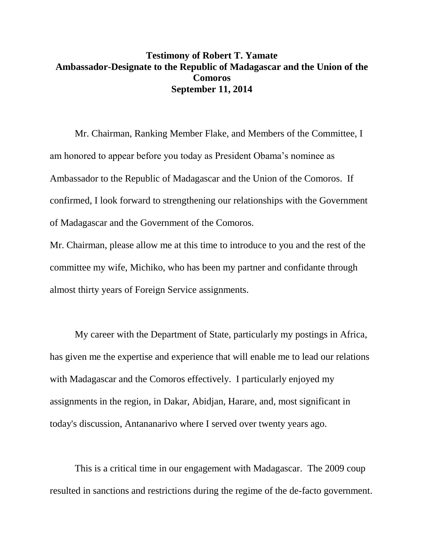## **Testimony of Robert T. Yamate Ambassador-Designate to the Republic of Madagascar and the Union of the Comoros September 11, 2014**

Mr. Chairman, Ranking Member Flake, and Members of the Committee, I am honored to appear before you today as President Obama's nominee as Ambassador to the Republic of Madagascar and the Union of the Comoros. If confirmed, I look forward to strengthening our relationships with the Government of Madagascar and the Government of the Comoros.

Mr. Chairman, please allow me at this time to introduce to you and the rest of the committee my wife, Michiko, who has been my partner and confidante through almost thirty years of Foreign Service assignments.

My career with the Department of State, particularly my postings in Africa, has given me the expertise and experience that will enable me to lead our relations with Madagascar and the Comoros effectively. I particularly enjoyed my assignments in the region, in Dakar, Abidjan, Harare, and, most significant in today's discussion, Antananarivo where I served over twenty years ago.

This is a critical time in our engagement with Madagascar. The 2009 coup resulted in sanctions and restrictions during the regime of the de-facto government.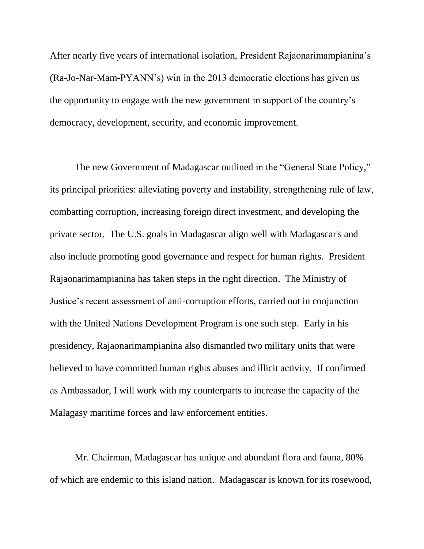After nearly five years of international isolation, President Rajaonarimampianina's (Ra-Jo-Nar-Mam-PYANN's) win in the 2013 democratic elections has given us the opportunity to engage with the new government in support of the country's democracy, development, security, and economic improvement.

The new Government of Madagascar outlined in the "General State Policy," its principal priorities: alleviating poverty and instability, strengthening rule of law, combatting corruption, increasing foreign direct investment, and developing the private sector. The U.S. goals in Madagascar align well with Madagascar's and also include promoting good governance and respect for human rights. President Rajaonarimampianina has taken steps in the right direction. The Ministry of Justice's recent assessment of anti-corruption efforts, carried out in conjunction with the United Nations Development Program is one such step. Early in his presidency, Rajaonarimampianina also dismantled two military units that were believed to have committed human rights abuses and illicit activity. If confirmed as Ambassador, I will work with my counterparts to increase the capacity of the Malagasy maritime forces and law enforcement entities.

Mr. Chairman, Madagascar has unique and abundant flora and fauna, 80% of which are endemic to this island nation. Madagascar is known for its rosewood,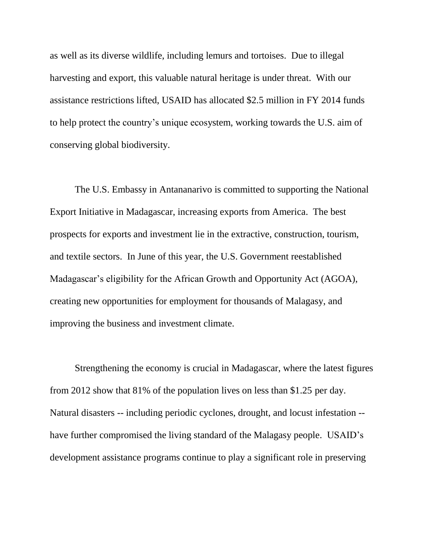as well as its diverse wildlife, including lemurs and tortoises. Due to illegal harvesting and export, this valuable natural heritage is under threat. With our assistance restrictions lifted, USAID has allocated \$2.5 million in FY 2014 funds to help protect the country's unique ecosystem, working towards the U.S. aim of conserving global biodiversity.

The U.S. Embassy in Antananarivo is committed to supporting the National Export Initiative in Madagascar, increasing exports from America. The best prospects for exports and investment lie in the extractive, construction, tourism, and textile sectors. In June of this year, the U.S. Government reestablished Madagascar's eligibility for the African Growth and Opportunity Act (AGOA), creating new opportunities for employment for thousands of Malagasy, and improving the business and investment climate.

Strengthening the economy is crucial in Madagascar, where the latest figures from 2012 show that 81% of the population lives on less than \$1.25 per day. Natural disasters -- including periodic cyclones, drought, and locust infestation - have further compromised the living standard of the Malagasy people. USAID's development assistance programs continue to play a significant role in preserving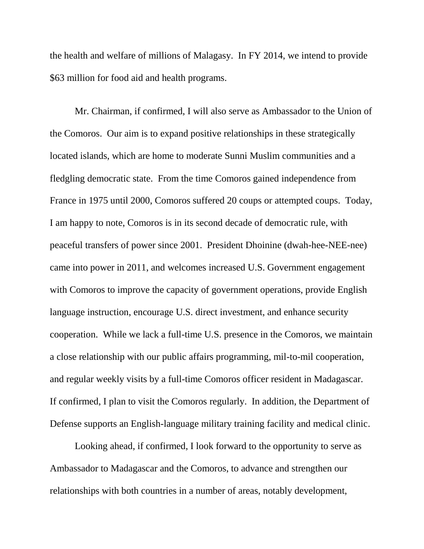the health and welfare of millions of Malagasy. In FY 2014, we intend to provide \$63 million for food aid and health programs.

Mr. Chairman, if confirmed, I will also serve as Ambassador to the Union of the Comoros. Our aim is to expand positive relationships in these strategically located islands, which are home to moderate Sunni Muslim communities and a fledgling democratic state. From the time Comoros gained independence from France in 1975 until 2000, Comoros suffered 20 coups or attempted coups. Today, I am happy to note, Comoros is in its second decade of democratic rule, with peaceful transfers of power since 2001. President Dhoinine (dwah-hee-NEE-nee) came into power in 2011, and welcomes increased U.S. Government engagement with Comoros to improve the capacity of government operations, provide English language instruction, encourage U.S. direct investment, and enhance security cooperation. While we lack a full-time U.S. presence in the Comoros, we maintain a close relationship with our public affairs programming, mil-to-mil cooperation, and regular weekly visits by a full-time Comoros officer resident in Madagascar. If confirmed, I plan to visit the Comoros regularly. In addition, the Department of Defense supports an English-language military training facility and medical clinic.

Looking ahead, if confirmed, I look forward to the opportunity to serve as Ambassador to Madagascar and the Comoros, to advance and strengthen our relationships with both countries in a number of areas, notably development,